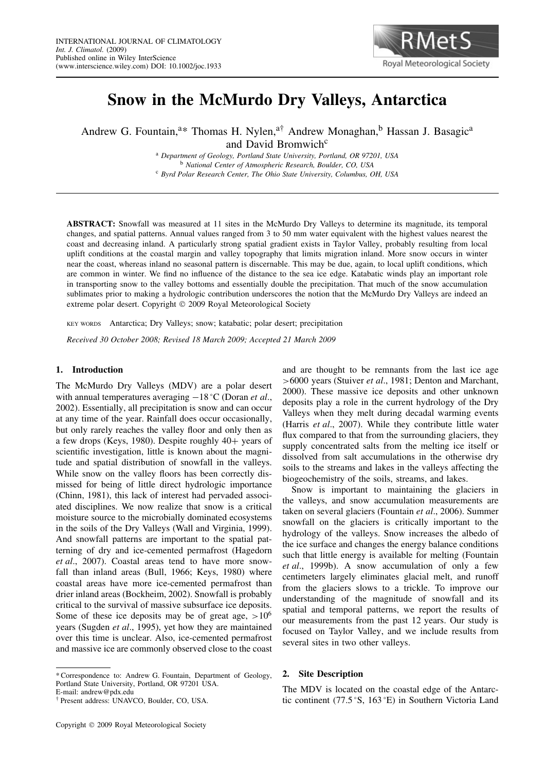

# **Snow in the McMurdo Dry Valleys, Antarctica**

Andrew G. Fountain,<sup>a\*</sup> Thomas H. Nylen,<sup>a†</sup> Andrew Monaghan,<sup>b</sup> Hassan J. Basagic<sup>a</sup> and David Bromwich<sup>c</sup>

> <sup>a</sup> *Department of Geology, Portland State University, Portland, OR 97201, USA* <sup>b</sup> *National Center of Atmospheric Research, Boulder, CO, USA* <sup>c</sup> *Byrd Polar Research Center, The Ohio State University, Columbus, OH, USA*

**ABSTRACT:** Snowfall was measured at 11 sites in the McMurdo Dry Valleys to determine its magnitude, its temporal changes, and spatial patterns. Annual values ranged from 3 to 50 mm water equivalent with the highest values nearest the coast and decreasing inland. A particularly strong spatial gradient exists in Taylor Valley, probably resulting from local uplift conditions at the coastal margin and valley topography that limits migration inland. More snow occurs in winter near the coast, whereas inland no seasonal pattern is discernable. This may be due, again, to local uplift conditions, which are common in winter. We find no influence of the distance to the sea ice edge. Katabatic winds play an important role in transporting snow to the valley bottoms and essentially double the precipitation. That much of the snow accumulation sublimates prior to making a hydrologic contribution underscores the notion that the McMurdo Dry Valleys are indeed an extreme polar desert. Copyright © 2009 Royal Meteorological Society

KEY WORDS Antarctica; Dry Valleys; snow; katabatic; polar desert; precipitation

*Received 30 October 2008; Revised 18 March 2009; Accepted 21 March 2009*

# **1. Introduction**

The McMurdo Dry Valleys (MDV) are a polar desert with annual temperatures averaging −18 °C (Doran *et al*., 2002). Essentially, all precipitation is snow and can occur at any time of the year. Rainfall does occur occasionally, but only rarely reaches the valley floor and only then as a few drops (Keys, 1980). Despite roughly 40+ years of scientific investigation, little is known about the magnitude and spatial distribution of snowfall in the valleys. While snow on the valley floors has been correctly dismissed for being of little direct hydrologic importance (Chinn, 1981), this lack of interest had pervaded associated disciplines. We now realize that snow is a critical moisture source to the microbially dominated ecosystems in the soils of the Dry Valleys (Wall and Virginia, 1999). And snowfall patterns are important to the spatial patterning of dry and ice-cemented permafrost (Hagedorn *et al*., 2007). Coastal areas tend to have more snowfall than inland areas (Bull, 1966; Keys, 1980) where coastal areas have more ice-cemented permafrost than drier inland areas (Bockheim, 2002). Snowfall is probably critical to the survival of massive subsurface ice deposits. Some of these ice deposits may be of great age,  $>10^6$ years (Sugden *et al*., 1995), yet how they are maintained over this time is unclear. Also, ice-cemented permafrost and massive ice are commonly observed close to the coast

E-mail: andrew@pdx.edu

† Present address: UNAVCO, Boulder, CO, USA.

and are thought to be remnants from the last ice age *>*6000 years (Stuiver *et al*., 1981; Denton and Marchant, 2000). These massive ice deposits and other unknown deposits play a role in the current hydrology of the Dry Valleys when they melt during decadal warming events (Harris *et al*., 2007). While they contribute little water flux compared to that from the surrounding glaciers, they supply concentrated salts from the melting ice itself or dissolved from salt accumulations in the otherwise dry soils to the streams and lakes in the valleys affecting the biogeochemistry of the soils, streams, and lakes.

Snow is important to maintaining the glaciers in the valleys, and snow accumulation measurements are taken on several glaciers (Fountain *et al*., 2006). Summer snowfall on the glaciers is critically important to the hydrology of the valleys. Snow increases the albedo of the ice surface and changes the energy balance conditions such that little energy is available for melting (Fountain *et al*., 1999b). A snow accumulation of only a few centimeters largely eliminates glacial melt, and runoff from the glaciers slows to a trickle. To improve our understanding of the magnitude of snowfall and its spatial and temporal patterns, we report the results of our measurements from the past 12 years. Our study is focused on Taylor Valley, and we include results from several sites in two other valleys.

# **2. Site Description**

The MDV is located on the coastal edge of the Antarctic continent (77.5 °S, 163 °E) in Southern Victoria Land

<sup>\*</sup> Correspondence to: Andrew G. Fountain, Department of Geology, Portland State University, Portland, OR 97201 USA.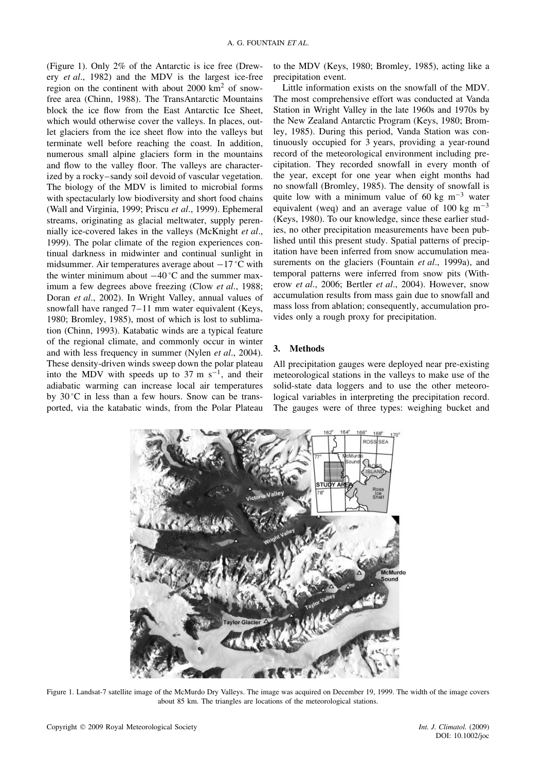(Figure 1). Only 2% of the Antarctic is ice free (Drewery *et al*., 1982) and the MDV is the largest ice-free region on the continent with about 2000 km2 of snowfree area (Chinn, 1988). The TransAntarctic Mountains block the ice flow from the East Antarctic Ice Sheet, which would otherwise cover the valleys. In places, outlet glaciers from the ice sheet flow into the valleys but terminate well before reaching the coast. In addition, numerous small alpine glaciers form in the mountains and flow to the valley floor. The valleys are characterized by a rocky–sandy soil devoid of vascular vegetation. The biology of the MDV is limited to microbial forms with spectacularly low biodiversity and short food chains (Wall and Virginia, 1999; Priscu *et al*., 1999). Ephemeral streams, originating as glacial meltwater, supply perennially ice-covered lakes in the valleys (McKnight *et al*., 1999). The polar climate of the region experiences continual darkness in midwinter and continual sunlight in midsummer. Air temperatures average about −17 °C with the winter minimum about  $-40^{\circ}$ C and the summer maximum a few degrees above freezing (Clow *et al*., 1988; Doran *et al*., 2002). In Wright Valley, annual values of snowfall have ranged  $7-11$  mm water equivalent (Keys, 1980; Bromley, 1985), most of which is lost to sublimation (Chinn, 1993). Katabatic winds are a typical feature of the regional climate, and commonly occur in winter and with less frequency in summer (Nylen *et al*., 2004). These density-driven winds sweep down the polar plateau into the MDV with speeds up to 37 m s<sup>-1</sup>, and their adiabatic warming can increase local air temperatures by 30 °C in less than a few hours. Snow can be transported, via the katabatic winds, from the Polar Plateau

to the MDV (Keys, 1980; Bromley, 1985), acting like a precipitation event.

Little information exists on the snowfall of the MDV. The most comprehensive effort was conducted at Vanda Station in Wright Valley in the late 1960s and 1970s by the New Zealand Antarctic Program (Keys, 1980; Bromley, 1985). During this period, Vanda Station was continuously occupied for 3 years, providing a year-round record of the meteorological environment including precipitation. They recorded snowfall in every month of the year, except for one year when eight months had no snowfall (Bromley, 1985). The density of snowfall is quite low with a minimum value of 60 kg m<sup>-3</sup> water equivalent (weq) and an average value of 100 kg  $m^{-3}$ (Keys, 1980). To our knowledge, since these earlier studies, no other precipitation measurements have been published until this present study. Spatial patterns of precipitation have been inferred from snow accumulation measurements on the glaciers (Fountain *et al*., 1999a), and temporal patterns were inferred from snow pits (Witherow *et al*., 2006; Bertler *et al*., 2004). However, snow accumulation results from mass gain due to snowfall and mass loss from ablation; consequently, accumulation provides only a rough proxy for precipitation.

### **3. Methods**

All precipitation gauges were deployed near pre-existing meteorological stations in the valleys to make use of the solid-state data loggers and to use the other meteorological variables in interpreting the precipitation record. The gauges were of three types: weighing bucket and



Figure 1. Landsat-7 satellite image of the McMurdo Dry Valleys. The image was acquired on December 19, 1999. The width of the image covers about 85 km. The triangles are locations of the meteorological stations.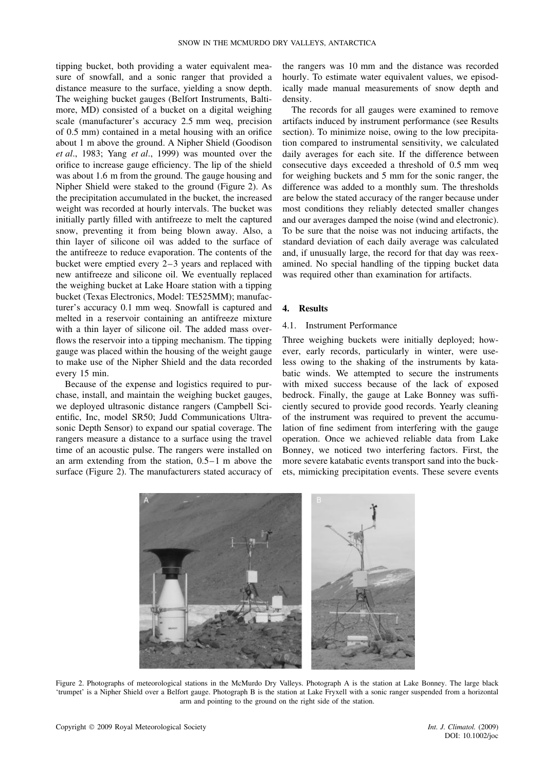tipping bucket, both providing a water equivalent measure of snowfall, and a sonic ranger that provided a distance measure to the surface, yielding a snow depth. The weighing bucket gauges (Belfort Instruments, Baltimore, MD) consisted of a bucket on a digital weighing scale (manufacturer's accuracy 2.5 mm weq, precision of 0.5 mm) contained in a metal housing with an orifice about 1 m above the ground. A Nipher Shield (Goodison *et al*., 1983; Yang *et al*., 1999) was mounted over the orifice to increase gauge efficiency. The lip of the shield was about 1.6 m from the ground. The gauge housing and Nipher Shield were staked to the ground (Figure 2). As the precipitation accumulated in the bucket, the increased weight was recorded at hourly intervals. The bucket was initially partly filled with antifreeze to melt the captured snow, preventing it from being blown away. Also, a thin layer of silicone oil was added to the surface of the antifreeze to reduce evaporation. The contents of the bucket were emptied every 2–3 years and replaced with new antifreeze and silicone oil. We eventually replaced the weighing bucket at Lake Hoare station with a tipping bucket (Texas Electronics, Model: TE525MM); manufacturer's accuracy 0.1 mm weq. Snowfall is captured and melted in a reservoir containing an antifreeze mixture with a thin layer of silicone oil. The added mass overflows the reservoir into a tipping mechanism. The tipping gauge was placed within the housing of the weight gauge to make use of the Nipher Shield and the data recorded every 15 min.

Because of the expense and logistics required to purchase, install, and maintain the weighing bucket gauges, we deployed ultrasonic distance rangers (Campbell Scientific, Inc, model SR50; Judd Communications Ultrasonic Depth Sensor) to expand our spatial coverage. The rangers measure a distance to a surface using the travel time of an acoustic pulse. The rangers were installed on an arm extending from the station, 0.5–1 m above the surface (Figure 2). The manufacturers stated accuracy of

the rangers was 10 mm and the distance was recorded hourly. To estimate water equivalent values, we episodically made manual measurements of snow depth and density.

The records for all gauges were examined to remove artifacts induced by instrument performance (see Results section). To minimize noise, owing to the low precipitation compared to instrumental sensitivity, we calculated daily averages for each site. If the difference between consecutive days exceeded a threshold of 0.5 mm weq for weighing buckets and 5 mm for the sonic ranger, the difference was added to a monthly sum. The thresholds are below the stated accuracy of the ranger because under most conditions they reliably detected smaller changes and our averages damped the noise (wind and electronic). To be sure that the noise was not inducing artifacts, the standard deviation of each daily average was calculated and, if unusually large, the record for that day was reexamined. No special handling of the tipping bucket data was required other than examination for artifacts.

### **4. Results**

## 4.1. Instrument Performance

Three weighing buckets were initially deployed; however, early records, particularly in winter, were useless owing to the shaking of the instruments by katabatic winds. We attempted to secure the instruments with mixed success because of the lack of exposed bedrock. Finally, the gauge at Lake Bonney was sufficiently secured to provide good records. Yearly cleaning of the instrument was required to prevent the accumulation of fine sediment from interfering with the gauge operation. Once we achieved reliable data from Lake Bonney, we noticed two interfering factors. First, the more severe katabatic events transport sand into the buckets, mimicking precipitation events. These severe events



Figure 2. Photographs of meteorological stations in the McMurdo Dry Valleys. Photograph A is the station at Lake Bonney. The large black 'trumpet' is a Nipher Shield over a Belfort gauge. Photograph B is the station at Lake Fryxell with a sonic ranger suspended from a horizontal arm and pointing to the ground on the right side of the station.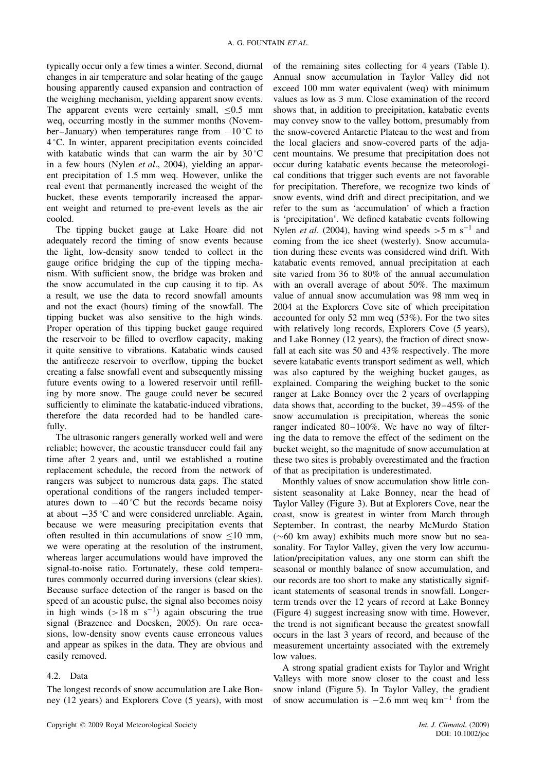typically occur only a few times a winter. Second, diurnal changes in air temperature and solar heating of the gauge housing apparently caused expansion and contraction of the weighing mechanism, yielding apparent snow events. The apparent events were certainly small,  $\leq 0.5$  mm weq, occurring mostly in the summer months (November–January) when temperatures range from  $-10$  °C to 4 °C. In winter, apparent precipitation events coincided with katabatic winds that can warm the air by 30 °C in a few hours (Nylen *et al*., 2004), yielding an apparent precipitation of 1.5 mm weq. However, unlike the real event that permanently increased the weight of the bucket, these events temporarily increased the apparent weight and returned to pre-event levels as the air cooled.

The tipping bucket gauge at Lake Hoare did not adequately record the timing of snow events because the light, low-density snow tended to collect in the gauge orifice bridging the cup of the tipping mechanism. With sufficient snow, the bridge was broken and the snow accumulated in the cup causing it to tip. As a result, we use the data to record snowfall amounts and not the exact (hours) timing of the snowfall. The tipping bucket was also sensitive to the high winds. Proper operation of this tipping bucket gauge required the reservoir to be filled to overflow capacity, making it quite sensitive to vibrations. Katabatic winds caused the antifreeze reservoir to overflow, tipping the bucket creating a false snowfall event and subsequently missing future events owing to a lowered reservoir until refilling by more snow. The gauge could never be secured sufficiently to eliminate the katabatic-induced vibrations, therefore the data recorded had to be handled carefully.

The ultrasonic rangers generally worked well and were reliable; however, the acoustic transducer could fail any time after 2 years and, until we established a routine replacement schedule, the record from the network of rangers was subject to numerous data gaps. The stated operational conditions of the rangers included temperatures down to  $-40^{\circ}$ C but the records became noisy at about −35 °C and were considered unreliable. Again, because we were measuring precipitation events that often resulted in thin accumulations of snow ≤10 mm, we were operating at the resolution of the instrument, whereas larger accumulations would have improved the signal-to-noise ratio. Fortunately, these cold temperatures commonly occurred during inversions (clear skies). Because surface detection of the ranger is based on the speed of an acoustic pulse, the signal also becomes noisy in high winds  $(>18 \text{ m s}^{-1})$  again obscuring the true signal (Brazenec and Doesken, 2005). On rare occasions, low-density snow events cause erroneous values and appear as spikes in the data. They are obvious and easily removed.

# 4.2. Data

The longest records of snow accumulation are Lake Bonney (12 years) and Explorers Cove (5 years), with most of the remaining sites collecting for 4 years (Table I). Annual snow accumulation in Taylor Valley did not exceed 100 mm water equivalent (weq) with minimum values as low as 3 mm. Close examination of the record shows that, in addition to precipitation, katabatic events may convey snow to the valley bottom, presumably from the snow-covered Antarctic Plateau to the west and from the local glaciers and snow-covered parts of the adjacent mountains. We presume that precipitation does not occur during katabatic events because the meteorological conditions that trigger such events are not favorable for precipitation. Therefore, we recognize two kinds of snow events, wind drift and direct precipitation, and we refer to the sum as 'accumulation' of which a fraction is 'precipitation'. We defined katabatic events following Nylen *et al.* (2004), having wind speeds  $> 5 \text{ m s}^{-1}$  and coming from the ice sheet (westerly). Snow accumulation during these events was considered wind drift. With katabatic events removed, annual precipitation at each site varied from 36 to 80% of the annual accumulation with an overall average of about 50%. The maximum value of annual snow accumulation was 98 mm weq in 2004 at the Explorers Cove site of which precipitation accounted for only 52 mm weq (53%). For the two sites with relatively long records, Explorers Cove (5 years), and Lake Bonney (12 years), the fraction of direct snowfall at each site was 50 and 43% respectively. The more severe katabatic events transport sediment as well, which was also captured by the weighing bucket gauges, as explained. Comparing the weighing bucket to the sonic ranger at Lake Bonney over the 2 years of overlapping data shows that, according to the bucket, 39–45% of the snow accumulation is precipitation, whereas the sonic ranger indicated 80–100%. We have no way of filtering the data to remove the effect of the sediment on the bucket weight, so the magnitude of snow accumulation at these two sites is probably overestimated and the fraction of that as precipitation is underestimated.

Monthly values of snow accumulation show little consistent seasonality at Lake Bonney, near the head of Taylor Valley (Figure 3). But at Explorers Cove, near the coast, snow is greatest in winter from March through September. In contrast, the nearby McMurdo Station (∼60 km away) exhibits much more snow but no seasonality. For Taylor Valley, given the very low accumulation/precipitation values, any one storm can shift the seasonal or monthly balance of snow accumulation, and our records are too short to make any statistically significant statements of seasonal trends in snowfall. Longerterm trends over the 12 years of record at Lake Bonney (Figure 4) suggest increasing snow with time. However, the trend is not significant because the greatest snowfall occurs in the last 3 years of record, and because of the measurement uncertainty associated with the extremely low values.

A strong spatial gradient exists for Taylor and Wright Valleys with more snow closer to the coast and less snow inland (Figure 5). In Taylor Valley, the gradient of snow accumulation is  $-2.6$  mm weg km<sup>-1</sup> from the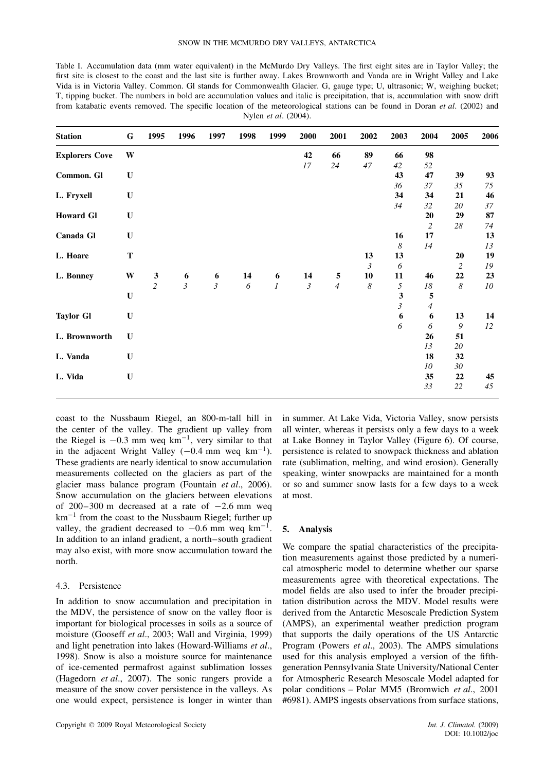| Table I. Accumulation data (mm water equivalent) in the McMurdo Dry Valleys. The first eight sites are in Taylor Valley; the      |
|-----------------------------------------------------------------------------------------------------------------------------------|
| first site is closest to the coast and the last site is further away. Lakes Brownworth and Vanda are in Wright Valley and Lake    |
| Vida is in Victoria Valley. Common. Gl stands for Commonwealth Glacier. G, gauge type; U, ultrasonic; W, weighing bucket;         |
| T, tipping bucket. The numbers in bold are accumulation values and italic is precipitation, that is, accumulation with snow drift |
| from katabatic events removed. The specific location of the meteorological stations can be found in Doran et al. (2002) and       |
| Nylen <i>et al.</i> (2004).                                                                                                       |

| <b>Station</b>        | G           | 1995           | 1996                                  | 1997          | 1998             | 1999           | 2000           | 2001           | 2002     | 2003             | 2004           | 2005             | 2006       |
|-----------------------|-------------|----------------|---------------------------------------|---------------|------------------|----------------|----------------|----------------|----------|------------------|----------------|------------------|------------|
| <b>Explorers Cove</b> | W           |                |                                       |               |                  |                | 42             | 66             | 89       | 66               | 98             |                  |            |
|                       |             |                |                                       |               |                  |                | 17             | 24             | $47\,$   | $42\,$           | 52             |                  |            |
| Common. Gl            | $\mathbf U$ |                |                                       |               |                  |                |                |                |          | 43               | 47             | 39               | 93         |
|                       |             |                |                                       |               |                  |                |                |                |          | 36               | 37             | 35               | $75\,$     |
| L. Fryxell            | $\mathbf U$ |                |                                       |               |                  |                |                |                |          | 34               | 34             | 21               | 46         |
|                       |             |                |                                       |               |                  |                |                |                |          | 34               | 32             | $20\,$           | 37         |
| <b>Howard Gl</b>      | $\mathbf U$ |                |                                       |               |                  |                |                |                |          |                  | 20             | 29               | 87         |
|                       |             |                |                                       |               |                  |                |                |                |          |                  | $\mathfrak{2}$ | $28\,$           | $74\,$     |
| Canada Gl             | $\mathbf U$ |                |                                       |               |                  |                |                |                |          | 16               | 17             |                  | 13         |
|                       |             |                |                                       |               |                  |                |                |                |          | $\boldsymbol{8}$ | 14             |                  | 13         |
| L. Hoare              | $\mathbf T$ |                |                                       |               |                  |                |                |                | 13       | 13               |                | 20               | 19         |
|                       |             |                |                                       |               |                  |                |                |                | 3        | 6                |                | $\overline{2}$   | ${\it 19}$ |
| L. Bonney             | W           | $\mathbf{3}$   | $\begin{array}{c} 6 \\ 3 \end{array}$ | $\frac{6}{3}$ | 14               | 6              | 14             | ${\bf 5}$      | 10       | 11               | 46             | 22               | 23         |
|                       |             | $\overline{c}$ |                                       |               | $\boldsymbol{6}$ | $\overline{l}$ | $\mathfrak{Z}$ | $\overline{4}$ | $\delta$ | 5                | $18\,$         | $\boldsymbol{8}$ | 10         |
|                       | $\mathbf U$ |                |                                       |               |                  |                |                |                |          | 3                | 5              |                  |            |
|                       |             |                |                                       |               |                  |                |                |                |          | $\mathfrak{z}$   | $\overline{4}$ |                  |            |
| <b>Taylor Gl</b>      | $\mathbf U$ |                |                                       |               |                  |                |                |                |          | 6                | 6              | 13               | 14         |
|                       |             |                |                                       |               |                  |                |                |                |          | 6                | 6              | $\boldsymbol{9}$ | 12         |
| L. Brownworth         | $\mathbf U$ |                |                                       |               |                  |                |                |                |          |                  | 26             | 51               |            |
|                       |             |                |                                       |               |                  |                |                |                |          |                  | 13             | 20               |            |
| L. Vanda              | $\mathbf U$ |                |                                       |               |                  |                |                |                |          |                  | 18             | 32               |            |
|                       |             |                |                                       |               |                  |                |                |                |          |                  | 10             | 30               |            |
| L. Vida               | $\mathbf U$ |                |                                       |               |                  |                |                |                |          |                  | 35             | 22               | 45         |
|                       |             |                |                                       |               |                  |                |                |                |          |                  | 33             | 22               | 45         |

coast to the Nussbaum Riegel, an 800-m-tall hill in the center of the valley. The gradient up valley from the Riegel is  $-0.3$  mm weq km<sup>-1</sup>, very similar to that in the adjacent Wright Valley  $(-0.4 \text{ mm} \text{ weq } \text{km}^{-1})$ . These gradients are nearly identical to snow accumulation measurements collected on the glaciers as part of the glacier mass balance program (Fountain *et al*., 2006). Snow accumulation on the glaciers between elevations of 200–300 m decreased at a rate of −2*.*6 mm weq  $km^{-1}$  from the coast to the Nussbaum Riegel; further up valley, the gradient decreased to  $-0.6$  mm weg km<sup>-1</sup>. In addition to an inland gradient, a north–south gradient may also exist, with more snow accumulation toward the north.

## 4.3. Persistence

In addition to snow accumulation and precipitation in the MDV, the persistence of snow on the valley floor is important for biological processes in soils as a source of moisture (Gooseff *et al*., 2003; Wall and Virginia, 1999) and light penetration into lakes (Howard-Williams *et al*., 1998). Snow is also a moisture source for maintenance of ice-cemented permafrost against sublimation losses (Hagedorn *et al*., 2007). The sonic rangers provide a measure of the snow cover persistence in the valleys. As one would expect, persistence is longer in winter than

in summer. At Lake Vida, Victoria Valley, snow persists all winter, whereas it persists only a few days to a week at Lake Bonney in Taylor Valley (Figure 6). Of course, persistence is related to snowpack thickness and ablation rate (sublimation, melting, and wind erosion). Generally speaking, winter snowpacks are maintained for a month or so and summer snow lasts for a few days to a week at most.

#### **5. Analysis**

We compare the spatial characteristics of the precipitation measurements against those predicted by a numerical atmospheric model to determine whether our sparse measurements agree with theoretical expectations. The model fields are also used to infer the broader precipitation distribution across the MDV. Model results were derived from the Antarctic Mesoscale Prediction System (AMPS), an experimental weather prediction program that supports the daily operations of the US Antarctic Program (Powers *et al*., 2003). The AMPS simulations used for this analysis employed a version of the fifthgeneration Pennsylvania State University/National Center for Atmospheric Research Mesoscale Model adapted for polar conditions – Polar MM5 (Bromwich *et al*., 2001 #6981). AMPS ingests observations from surface stations,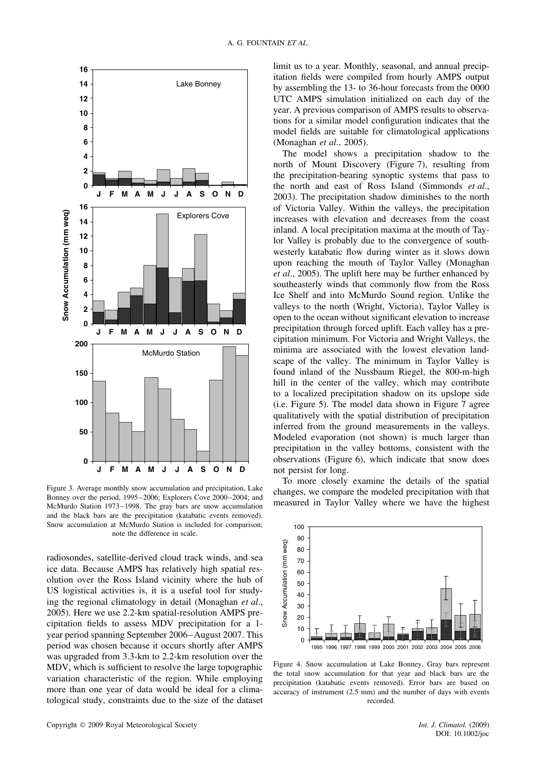

Figure 3. Average monthly snow accumulation and precipitation, Lake Bonney over the period, 1995–2006; Explorers Cove 2000–2004; and McMurdo Station 1973–1998. The gray bars are snow accumulation and the black bars are the precipitation (katabatic events removed). Snow accumulation at McMurdo Station is included for comparison; note the difference in scale.

radiosondes, satellite-derived cloud track winds, and sea ice data. Because AMPS has relatively high spatial resolution over the Ross Island vicinity where the hub of US logistical activities is, it is a useful tool for studying the regional climatology in detail (Monaghan *et al*., 2005). Here we use 2.2-km spatial-resolution AMPS precipitation fields to assess MDV precipitation for a 1 year period spanning September 2006–August 2007. This period was chosen because it occurs shortly after AMPS was upgraded from 3.3-km to 2.2-km resolution over the MDV, which is sufficient to resolve the large topographic variation characteristic of the region. While employing more than one year of data would be ideal for a climatological study, constraints due to the size of the dataset

limit us to a year. Monthly, seasonal, and annual precipitation fields were compiled from hourly AMPS output by assembling the 13- to 36-hour forecasts from the 0000 UTC AMPS simulation initialized on each day of the year. A previous comparison of AMPS results to observations for a similar model configuration indicates that the model fields are suitable for climatological applications (Monaghan *et al*., 2005).

The model shows a precipitation shadow to the north of Mount Discovery (Figure 7), resulting from the precipitation-bearing synoptic systems that pass to the north and east of Ross Island (Simmonds *et al*., 2003). The precipitation shadow diminishes to the north of Victoria Valley. Within the valleys, the precipitation increases with elevation and decreases from the coast inland. A local precipitation maxima at the mouth of Taylor Valley is probably due to the convergence of southwesterly katabatic flow during winter as it slows down upon reaching the mouth of Taylor Valley (Monaghan *et al*., 2005). The uplift here may be further enhanced by southeasterly winds that commonly flow from the Ross Ice Shelf and into McMurdo Sound region. Unlike the valleys to the north (Wright, Victoria), Taylor Valley is open to the ocean without significant elevation to increase precipitation through forced uplift. Each valley has a precipitation minimum. For Victoria and Wright Valleys, the minima are associated with the lowest elevation landscape of the valley. The minimum in Taylor Valley is found inland of the Nussbaum Riegel, the 800-m-high hill in the center of the valley, which may contribute to a localized precipitation shadow on its upslope side (i.e. Figure 5). The model data shown in Figure 7 agree qualitatively with the spatial distribution of precipitation inferred from the ground measurements in the valleys. Modeled evaporation (not shown) is much larger than precipitation in the valley bottoms, consistent with the observations (Figure 6), which indicate that snow does not persist for long.

To more closely examine the details of the spatial changes, we compare the modeled precipitation with that measured in Taylor Valley where we have the highest



Figure 4. Snow accumulation at Lake Bonney. Gray bars represent the total snow accumulation for that year and black bars are the precipitation (katabatic events removed). Error bars are based on accuracy of instrument (2.5 mm) and the number of days with events recorded.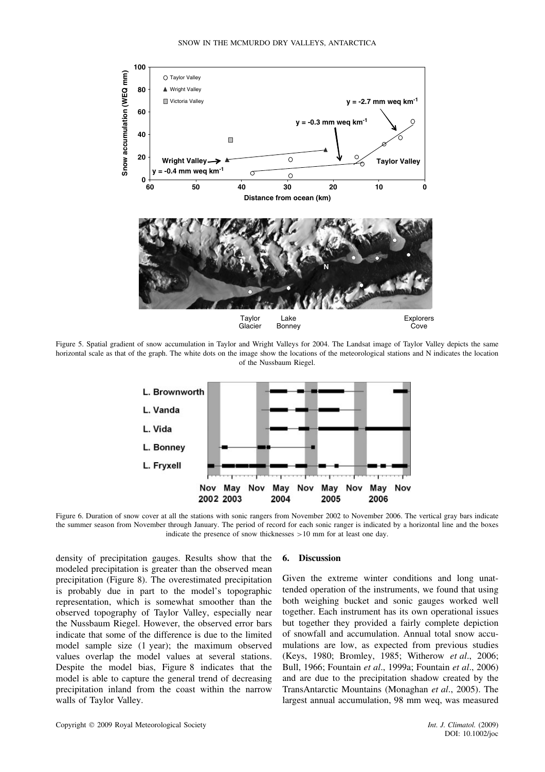

Figure 5. Spatial gradient of snow accumulation in Taylor and Wright Valleys for 2004. The Landsat image of Taylor Valley depicts the same horizontal scale as that of the graph. The white dots on the image show the locations of the meteorological stations and N indicates the location of the Nussbaum Riegel.



Figure 6. Duration of snow cover at all the stations with sonic rangers from November 2002 to November 2006. The vertical gray bars indicate the summer season from November through January. The period of record for each sonic ranger is indicated by a horizontal line and the boxes indicate the presence of snow thicknesses *>*10 mm for at least one day.

density of precipitation gauges. Results show that the modeled precipitation is greater than the observed mean precipitation (Figure 8). The overestimated precipitation is probably due in part to the model's topographic representation, which is somewhat smoother than the observed topography of Taylor Valley, especially near the Nussbaum Riegel. However, the observed error bars indicate that some of the difference is due to the limited model sample size (1 year); the maximum observed values overlap the model values at several stations. Despite the model bias, Figure 8 indicates that the model is able to capture the general trend of decreasing precipitation inland from the coast within the narrow walls of Taylor Valley.

#### **6. Discussion**

Given the extreme winter conditions and long unattended operation of the instruments, we found that using both weighing bucket and sonic gauges worked well together. Each instrument has its own operational issues but together they provided a fairly complete depiction of snowfall and accumulation. Annual total snow accumulations are low, as expected from previous studies (Keys, 1980; Bromley, 1985; Witherow *et al*., 2006; Bull, 1966; Fountain *et al*., 1999a; Fountain *et al*., 2006) and are due to the precipitation shadow created by the TransAntarctic Mountains (Monaghan *et al*., 2005). The largest annual accumulation, 98 mm weq, was measured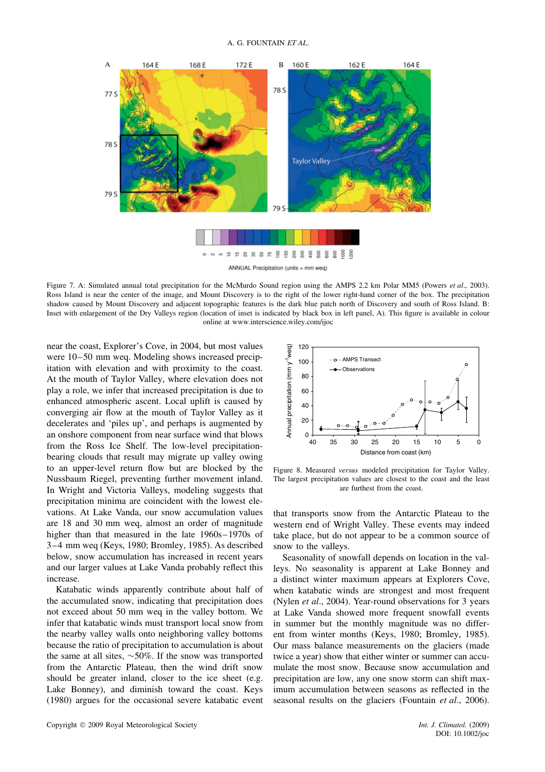

Figure 7. A: Simulated annual total precipitation for the McMurdo Sound region using the AMPS 2.2 km Polar MM5 (Powers *et al*., 2003). Ross Island is near the center of the image, and Mount Discovery is to the right of the lower right-hand corner of the box. The precipitation shadow caused by Mount Discovery and adjacent topographic features is the dark blue patch north of Discovery and south of Ross Island. B: Inset with enlargement of the Dry Valleys region (location of inset is indicated by black box in left panel, A). This figure is available in colour online at www.interscience.wiley.com/ijoc

near the coast, Explorer's Cove, in 2004, but most values were 10–50 mm weq. Modeling shows increased precipitation with elevation and with proximity to the coast. At the mouth of Taylor Valley, where elevation does not play a role, we infer that increased precipitation is due to enhanced atmospheric ascent. Local uplift is caused by converging air flow at the mouth of Taylor Valley as it decelerates and 'piles up', and perhaps is augmented by an onshore component from near surface wind that blows from the Ross Ice Shelf. The low-level precipitationbearing clouds that result may migrate up valley owing to an upper-level return flow but are blocked by the Nussbaum Riegel, preventing further movement inland. In Wright and Victoria Valleys, modeling suggests that precipitation minima are coincident with the lowest elevations. At Lake Vanda, our snow accumulation values are 18 and 30 mm weq, almost an order of magnitude higher than that measured in the late 1960s–1970s of 3–4 mm weq (Keys, 1980; Bromley, 1985). As described below, snow accumulation has increased in recent years and our larger values at Lake Vanda probably reflect this increase.

Katabatic winds apparently contribute about half of the accumulated snow, indicating that precipitation does not exceed about 50 mm weq in the valley bottom. We infer that katabatic winds must transport local snow from the nearby valley walls onto neighboring valley bottoms because the ratio of precipitation to accumulation is about the same at all sites, ∼50%. If the snow was transported from the Antarctic Plateau, then the wind drift snow should be greater inland, closer to the ice sheet (e.g. Lake Bonney), and diminish toward the coast. Keys (1980) argues for the occasional severe katabatic event



Figure 8. Measured *versus* modeled precipitation for Taylor Valley. The largest precipitation values are closest to the coast and the least are furthest from the coast.

that transports snow from the Antarctic Plateau to the western end of Wright Valley. These events may indeed take place, but do not appear to be a common source of snow to the valleys.

Seasonality of snowfall depends on location in the valleys. No seasonality is apparent at Lake Bonney and a distinct winter maximum appears at Explorers Cove, when katabatic winds are strongest and most frequent (Nylen *et al*., 2004). Year-round observations for 3 years at Lake Vanda showed more frequent snowfall events in summer but the monthly magnitude was no different from winter months (Keys, 1980; Bromley, 1985). Our mass balance measurements on the glaciers (made twice a year) show that either winter or summer can accumulate the most snow. Because snow accumulation and precipitation are low, any one snow storm can shift maximum accumulation between seasons as reflected in the seasonal results on the glaciers (Fountain *et al*., 2006).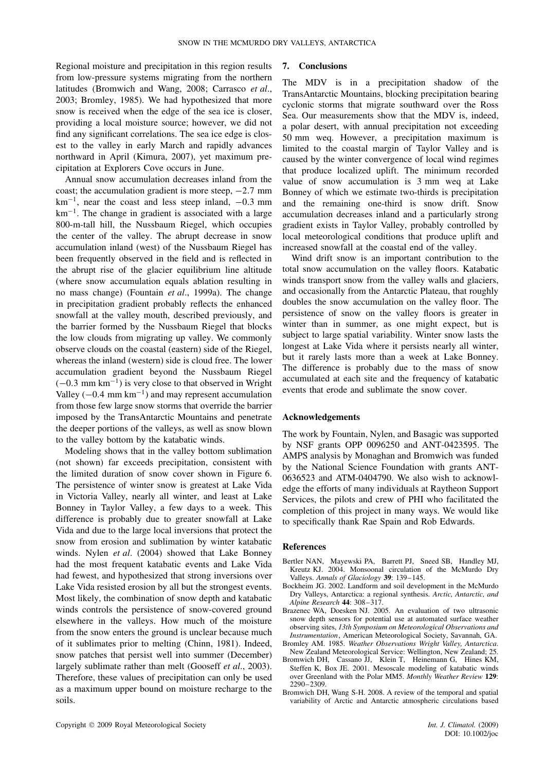Regional moisture and precipitation in this region results from low-pressure systems migrating from the northern latitudes (Bromwich and Wang, 2008; Carrasco *et al*., 2003; Bromley, 1985). We had hypothesized that more snow is received when the edge of the sea ice is closer, providing a local moisture source; however, we did not find any significant correlations. The sea ice edge is closest to the valley in early March and rapidly advances northward in April (Kimura, 2007), yet maximum precipitation at Explorers Cove occurs in June.

Annual snow accumulation decreases inland from the coast; the accumulation gradient is more steep, −2*.*7 mm  $km^{-1}$ , near the coast and less steep inland,  $-0.3$  mm  $km^{-1}$ . The change in gradient is associated with a large 800-m-tall hill, the Nussbaum Riegel, which occupies the center of the valley. The abrupt decrease in snow accumulation inland (west) of the Nussbaum Riegel has been frequently observed in the field and is reflected in the abrupt rise of the glacier equilibrium line altitude (where snow accumulation equals ablation resulting in no mass change) (Fountain *et al*., 1999a). The change in precipitation gradient probably reflects the enhanced snowfall at the valley mouth, described previously, and the barrier formed by the Nussbaum Riegel that blocks the low clouds from migrating up valley. We commonly observe clouds on the coastal (eastern) side of the Riegel, whereas the inland (western) side is cloud free. The lower accumulation gradient beyond the Nussbaum Riegel  $(-0.3$  mm km<sup>-1</sup>) is very close to that observed in Wright Valley  $(-0.4 \text{ mm km}^{-1})$  and may represent accumulation from those few large snow storms that override the barrier imposed by the TransAntarctic Mountains and penetrate the deeper portions of the valleys, as well as snow blown to the valley bottom by the katabatic winds.

Modeling shows that in the valley bottom sublimation (not shown) far exceeds precipitation, consistent with the limited duration of snow cover shown in Figure 6. The persistence of winter snow is greatest at Lake Vida in Victoria Valley, nearly all winter, and least at Lake Bonney in Taylor Valley, a few days to a week. This difference is probably due to greater snowfall at Lake Vida and due to the large local inversions that protect the snow from erosion and sublimation by winter katabatic winds. Nylen *et al*. (2004) showed that Lake Bonney had the most frequent katabatic events and Lake Vida had fewest, and hypothesized that strong inversions over Lake Vida resisted erosion by all but the strongest events. Most likely, the combination of snow depth and katabatic winds controls the persistence of snow-covered ground elsewhere in the valleys. How much of the moisture from the snow enters the ground is unclear because much of it sublimates prior to melting (Chinn, 1981). Indeed, snow patches that persist well into summer (December) largely sublimate rather than melt (Gooseff *et al*., 2003). Therefore, these values of precipitation can only be used as a maximum upper bound on moisture recharge to the soils.

The MDV is in a precipitation shadow of the TransAntarctic Mountains, blocking precipitation bearing cyclonic storms that migrate southward over the Ross Sea. Our measurements show that the MDV is, indeed, a polar desert, with annual precipitation not exceeding 50 mm weq. However, a precipitation maximum is limited to the coastal margin of Taylor Valley and is caused by the winter convergence of local wind regimes that produce localized uplift. The minimum recorded value of snow accumulation is 3 mm weq at Lake Bonney of which we estimate two-thirds is precipitation and the remaining one-third is snow drift. Snow accumulation decreases inland and a particularly strong gradient exists in Taylor Valley, probably controlled by local meteorological conditions that produce uplift and increased snowfall at the coastal end of the valley.

Wind drift snow is an important contribution to the total snow accumulation on the valley floors. Katabatic winds transport snow from the valley walls and glaciers, and occasionally from the Antarctic Plateau, that roughly doubles the snow accumulation on the valley floor. The persistence of snow on the valley floors is greater in winter than in summer, as one might expect, but is subject to large spatial variability. Winter snow lasts the longest at Lake Vida where it persists nearly all winter, but it rarely lasts more than a week at Lake Bonney. The difference is probably due to the mass of snow accumulated at each site and the frequency of katabatic events that erode and sublimate the snow cover.

## **Acknowledgements**

The work by Fountain, Nylen, and Basagic was supported by NSF grants OPP 0096250 and ANT-0423595. The AMPS analysis by Monaghan and Bromwich was funded by the National Science Foundation with grants ANT-0636523 and ATM-0404790. We also wish to acknowledge the efforts of many individuals at Raytheon Support Services, the pilots and crew of PHI who facilitated the completion of this project in many ways. We would like to specifically thank Rae Spain and Rob Edwards.

## **References**

- Bertler NAN, Mayewski PA, Barrett PJ, Sneed SB, Handley MJ, Kreutz KJ. 2004. Monsoonal circulation of the McMurdo Dry Valleys. *Annals of Glaciology* **39**: 139–145.
- Bockheim JG. 2002. Landform and soil development in the McMurdo Dry Valleys, Antarctica: a regional synthesis. *Arctic, Antarctic, and Alpine Research* **44**: 308–317.
- Brazenec WA, Doesken NJ. 2005. An evaluation of two ultrasonic snow depth sensors for potential use at automated surface weather observing sites, *13th Symposium on Meteorological Observations and Instrumentation*, American Meteorological Society, Savannah, GA.
- Bromley AM. 1985. *Weather Observations Wright Valley, Antarctica*. New Zealand Meteorological Service: Wellington, New Zealand; 25.
- Bromwich DH, Cassano JJ, Klein T, Heinemann G, Hines KM, Steffen K, Box JE. 2001. Mesoscale modeling of katabatic winds over Greenland with the Polar MM5. *Monthly Weather Review* **129**: 2290–2309.
- Bromwich DH, Wang S-H. 2008. A review of the temporal and spatial variability of Arctic and Antarctic atmospheric circulations based